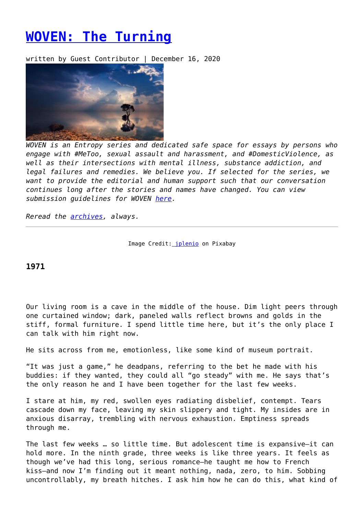## **[WOVEN: The Turning](https://entropymag.org/woven-the-turning/)**

written by Guest Contributor | December 16, 2020



*WOVEN is an Entropy series and dedicated safe space for essays by persons who engage with #MeToo, sexual assault and harassment, and #DomesticViolence, as well as their intersections with mental illness, substance addiction, and legal failures and remedies. We believe you. If selected for the series, we want to provide the editorial and human support such that our conversation continues long after the stories and names have changed. You can view submission guidelines for WOVEN [here.](https://entropymag.org/woven-call-for-submissions/)*

*Reread the [archives](https://entropymag.org/tag/woven/), always.* 

Image Credit: *jplenio* on Pixabay

## **1971**

Our living room is a cave in the middle of the house. Dim light peers through one curtained window; dark, paneled walls reflect browns and golds in the stiff, formal furniture. I spend little time here, but it's the only place I can talk with him right now.

He sits across from me, emotionless, like some kind of museum portrait.

"It was just a game," he deadpans, referring to the bet he made with his buddies: if they wanted, they could all "go steady" with me. He says that's the only reason he and I have been together for the last few weeks.

I stare at him, my red, swollen eyes radiating disbelief, contempt. Tears cascade down my face, leaving my skin slippery and tight. My insides are in anxious disarray, trembling with nervous exhaustion. Emptiness spreads through me.

The last few weeks … so little time. But adolescent time is expansive—it can hold more. In the ninth grade, three weeks is like three years. It feels as though we've had this long, serious romance—he taught me how to French kiss—and now I'm finding out it meant nothing, nada, zero, to him. Sobbing uncontrollably, my breath hitches. I ask him how he can do this, what kind of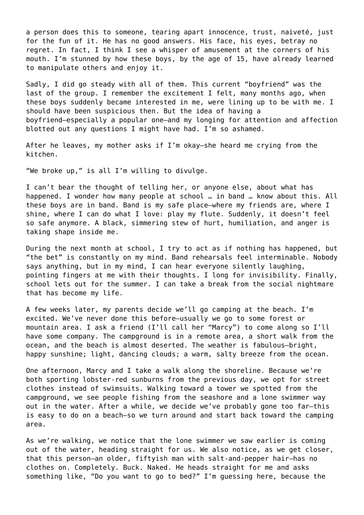a person does this to someone, tearing apart innocence, trust, naiveté, just for the fun of it. He has no good answers. His face, his eyes, betray no regret. In fact, I think I see a whisper of amusement at the corners of his mouth. I'm stunned by how these boys, by the age of 15, have already learned to manipulate others and enjoy it.

Sadly, I did go steady with all of them. This current "boyfriend" was the last of the group. I remember the excitement I felt, many months ago, when these boys suddenly became interested in me, were lining up to be with me. I should have been suspicious then. But the idea of having a boyfriend—especially a popular one—and my longing for attention and affection blotted out any questions I might have had. I'm so ashamed.

After he leaves, my mother asks if I'm okay—she heard me crying from the kitchen.

"We broke up," is all I'm willing to divulge.

I can't bear the thought of telling her, or anyone else, about what has happened. I wonder how many people at school … in band … know about this. All these boys are in band. Band is my safe place—where my friends are, where I shine, where I can do what I love: play my flute. Suddenly, it doesn't feel so safe anymore. A black, simmering stew of hurt, humiliation, and anger is taking shape inside me.

During the next month at school, I try to act as if nothing has happened, but "the bet" is constantly on my mind. Band rehearsals feel interminable. Nobody says anything, but in my mind, I can hear everyone silently laughing, pointing fingers at me with their thoughts. I long for invisibility. Finally, school lets out for the summer. I can take a break from the social nightmare that has become my life.

A few weeks later, my parents decide we'll go camping at the beach. I'm excited. We've never done this before—usually we go to some forest or mountain area. I ask a friend (I'll call her "Marcy") to come along so I'll have some company. The campground is in a remote area, a short walk from the ocean, and the beach is almost deserted. The weather is fabulous—bright, happy sunshine; light, dancing clouds; a warm, salty breeze from the ocean.

One afternoon, Marcy and I take a walk along the shoreline. Because we're both sporting lobster-red sunburns from the previous day, we opt for street clothes instead of swimsuits. Walking toward a tower we spotted from the campground, we see people fishing from the seashore and a lone swimmer way out in the water. After a while, we decide we've probably gone too far—this is easy to do on a beach—so we turn around and start back toward the camping area.

As we're walking, we notice that the lone swimmer we saw earlier is coming out of the water, heading straight for us. We also notice, as we get closer, that this person—an older, fiftyish man with salt-and-pepper hair—has no clothes on. Completely. Buck. Naked. He heads straight for me and asks something like, "Do you want to go to bed?" I'm guessing here, because the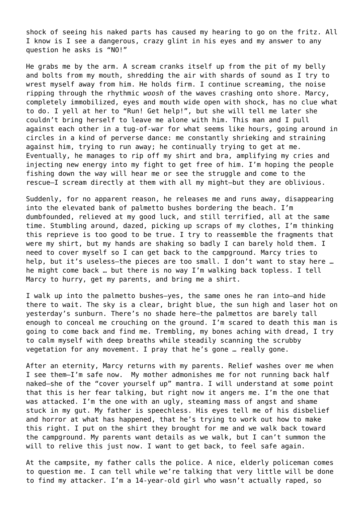shock of seeing his naked parts has caused my hearing to go on the fritz. All I know is I see a dangerous, crazy glint in his eyes and my answer to any question he asks is "NO!"

He grabs me by the arm. A scream cranks itself up from the pit of my belly and bolts from my mouth, shredding the air with shards of sound as I try to wrest myself away from him. He holds firm. I continue screaming, the noise ripping through the rhythmic *woosh* of the waves crashing onto shore. Marcy, completely immobilized, eyes and mouth wide open with shock, has no clue what to do. I yell at her to "Run! Get help!", but she will tell me later she couldn't bring herself to leave me alone with him. This man and I pull against each other in a tug-of-war for what seems like hours, going around in circles in a kind of perverse dance: me constantly shrieking and straining against him, trying to run away; he continually trying to get at me. Eventually, he manages to rip off my shirt and bra, amplifying my cries and injecting new energy into my fight to get free of him. I'm hoping the people fishing down the way will hear me or see the struggle and come to the rescue—I scream directly at them with all my might—but they are oblivious.

Suddenly, for no apparent reason, he releases me and runs away, disappearing into the elevated bank of palmetto bushes bordering the beach. I'm dumbfounded, relieved at my good luck, and still terrified, all at the same time. Stumbling around, dazed, picking up scraps of my clothes, I'm thinking this reprieve is too good to be true. I try to reassemble the fragments that were my shirt, but my hands are shaking so badly I can barely hold them. I need to cover myself so I can get back to the campground. Marcy tries to help, but it's useless—the pieces are too small. I don't want to stay here … he might come back … but there is no way I'm walking back topless. I tell Marcy to hurry, get my parents, and bring me a shirt.

I walk up into the palmetto bushes—yes, the same ones he ran into—and hide there to wait. The sky is a clear, bright blue, the sun high and laser hot on yesterday's sunburn. There's no shade here—the palmettos are barely tall enough to conceal me crouching on the ground. I'm scared to death this man is going to come back and find me. Trembling, my bones aching with dread, I try to calm myself with deep breaths while steadily scanning the scrubby vegetation for any movement. I pray that he's gone … really gone.

After an eternity, Marcy returns with my parents. Relief washes over me when I see them—I'm safe now. My mother admonishes me for not running back half naked—she of the "cover yourself up" mantra. I will understand at some point that this is her fear talking, but right now it angers me. I'm the one that was attacked. I'm the one with an ugly, steaming mass of angst and shame stuck in my gut. My father is speechless. His eyes tell me of his disbelief and horror at what has happened, that he's trying to work out how to make this right. I put on the shirt they brought for me and we walk back toward the campground. My parents want details as we walk, but I can't summon the will to relive this just now. I want to get back, to feel safe again.

At the campsite, my father calls the police. A nice, elderly policeman comes to question me. I can tell while we're talking that very little will be done to find my attacker. I'm a 14-year-old girl who wasn't actually raped, so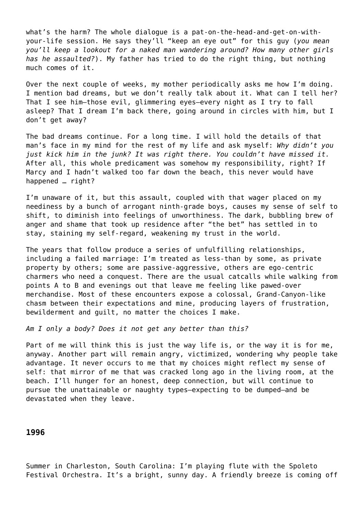what's the harm? The whole dialogue is a pat-on-the-head-and-get-on-withyour-life session. He says they'll "keep an eye out" for this guy (*you mean you'll keep a lookout for a naked man wandering around? How many other girls has he assaulted?*). My father has tried to do the right thing, but nothing much comes of it.

Over the next couple of weeks, my mother periodically asks me how I'm doing. I mention bad dreams, but we don't really talk about it. What can I tell her? That I see him—those evil, glimmering eyes—every night as I try to fall asleep? That I dream I'm back there, going around in circles with him, but I don't get away?

The bad dreams continue. For a long time. I will hold the details of that man's face in my mind for the rest of my life and ask myself: *Why didn't you just kick him in the junk? It was right there. You couldn't have missed it.* After all, this whole predicament was somehow my responsibility, right? If Marcy and I hadn't walked too far down the beach, this never would have happened … right?

I'm unaware of it, but this assault, coupled with that wager placed on my neediness by a bunch of arrogant ninth-grade boys, causes my sense of self to shift, to diminish into feelings of unworthiness. The dark, bubbling brew of anger and shame that took up residence after "the bet" has settled in to stay, staining my self-regard, weakening my trust in the world.

The years that follow produce a series of unfulfilling relationships, including a failed marriage: I'm treated as less-than by some, as private property by others; some are passive-aggressive, others are ego-centric charmers who need a conquest. There are the usual catcalls while walking from points A to B and evenings out that leave me feeling like pawed-over merchandise. Most of these encounters expose a colossal, Grand-Canyon-like chasm between their expectations and mine, producing layers of frustration, bewilderment and guilt, no matter the choices I make.

*Am I only a body? Does it not get any better than this?*

Part of me will think this is just the way life is, or the way it is for me, anyway. Another part will remain angry, victimized, wondering why people take advantage. It never occurs to me that my choices might reflect my sense of self: that mirror of me that was cracked long ago in the living room, at the beach. I'll hunger for an honest, deep connection, but will continue to pursue the unattainable or naughty types—expecting to be dumped—and be devastated when they leave.

## **1996**

Summer in Charleston, South Carolina: I'm playing flute with the Spoleto Festival Orchestra. It's a bright, sunny day. A friendly breeze is coming off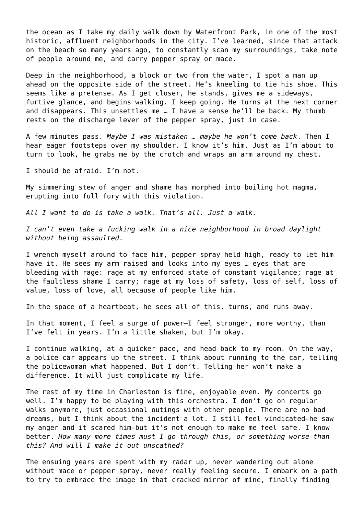the ocean as I take my daily walk down by Waterfront Park, in one of the most historic, affluent neighborhoods in the city. I've learned, since that attack on the beach so many years ago, to constantly scan my surroundings, take note of people around me, and carry pepper spray or mace.

Deep in the neighborhood, a block or two from the water, I spot a man up ahead on the opposite side of the street. He's kneeling to tie his shoe. This seems like a pretense. As I get closer, he stands, gives me a sideways, furtive glance, and begins walking. I keep going. He turns at the next corner and disappears. This unsettles me … I have a sense he'll be back. My thumb rests on the discharge lever of the pepper spray, just in case.

A few minutes pass. *Maybe I was mistaken … maybe he won't come back*. Then I hear eager footsteps over my shoulder. I know it's him. Just as I'm about to turn to look, he grabs me by the crotch and wraps an arm around my chest.

I should be afraid. I'm not.

My simmering stew of anger and shame has morphed into boiling hot magma, erupting into full fury with this violation.

*All I want to do is take a walk. That's all. Just a walk.*

*I can't even take a fucking walk in a nice neighborhood in broad daylight without being assaulted*.

I wrench myself around to face him, pepper spray held high, ready to let him have it. He sees my arm raised and looks into my eyes … eyes that are bleeding with rage: rage at my enforced state of constant vigilance; rage at the faultless shame I carry; rage at my loss of safety, loss of self, loss of value, loss of love, all because of people like him.

In the space of a heartbeat, he sees all of this, turns, and runs away.

In that moment, I feel a surge of power—I feel stronger, more worthy, than I've felt in years. I'm a little shaken, but I'm okay.

I continue walking, at a quicker pace, and head back to my room. On the way, a police car appears up the street. I think about running to the car, telling the policewoman what happened. But I don't. Telling her won't make a difference. It will just complicate my life.

The rest of my time in Charleston is fine, enjoyable even. My concerts go well. I'm happy to be playing with this orchestra. I don't go on regular walks anymore, just occasional outings with other people. There are no bad dreams, but I think about the incident a lot. I still feel vindicated—he saw my anger and it scared him—but it's not enough to make me feel safe. I know better. *How many more times must I go through this, or something worse than this? And will I make it out unscathed?*

The ensuing years are spent with my radar up, never wandering out alone without mace or pepper spray, never really feeling secure. I embark on a path to try to embrace the image in that cracked mirror of mine, finally finding